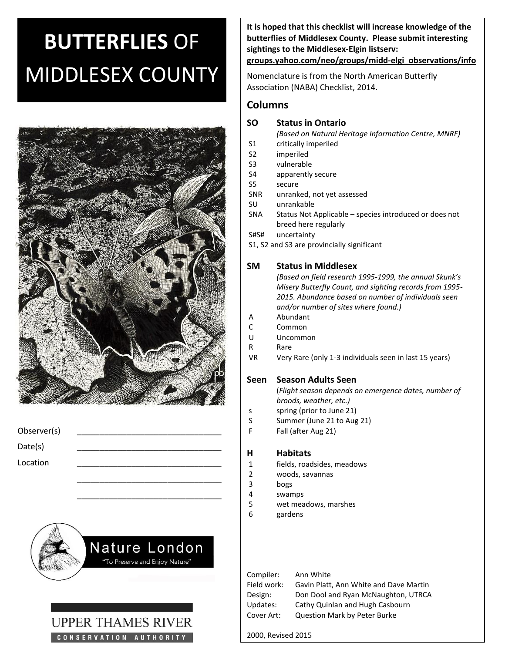# **BUTTERFLIES** OF MIDDLESEX COUNTY



| Observer(s) |  |
|-------------|--|
| Date(s)     |  |
| Location    |  |
|             |  |

\_\_\_\_\_\_\_\_\_\_\_\_\_\_\_\_\_\_\_\_\_\_\_\_\_\_\_\_\_\_\_\_





**It is hoped that this checklist will increase knowledge of the butterflies of Middlesex County. Please submit interesting sightings to the Middlesex-Elgin listserv:** 

#### **groups.yahoo.com/neo/groups/midd-elgi\_observations/info**

Nomenclature is from the North American Butterfly Association (NABA) Checklist, 2014.

# **Columns**

### **SO Status in Ontario**

*(Based on Natural Heritage Information Centre, MNRF)*

- S1 critically imperiled
- S2 imperiled
- S3 vulnerable
- S4 apparently secure
- S5 secure
- SNR unranked, not yet assessed
- SU unrankable
- SNA Status Not Applicable species introduced or does not breed here regularly
- S#S# uncertainty
- S1, S2 and S3 are provincially significant

# **SM Status in Middlesex**

*(Based on field research 1995-1999, the annual Skunk's Misery Butterfly Count, and sighting records from 1995- 2015. Abundance based on number of individuals seen and/or number of sites where found.)*

- A Abundant
- C Common
- U Uncommon
- R Rare
- VR Very Rare (only 1-3 individuals seen in last 15 years)

# **Seen Season Adults Seen**

(*Flight season depends on emergence dates, number of broods, weather, etc.)*

- s spring (prior to June 21)
- S Summer (June 21 to Aug 21)
- F Fall (after Aug 21)

#### **H Habitats**

- 1 fields, roadsides, meadows
- 2 woods, savannas
- 3 bogs
- 4 swamps
- 5 wet meadows, marshes
- 6 gardens

| Ann White                              |
|----------------------------------------|
| Gavin Platt, Ann White and Dave Martin |
| Don Dool and Ryan McNaughton, UTRCA    |
| Cathy Quinlan and Hugh Casbourn        |
| <b>Question Mark by Peter Burke</b>    |
|                                        |

2000, Revised 2015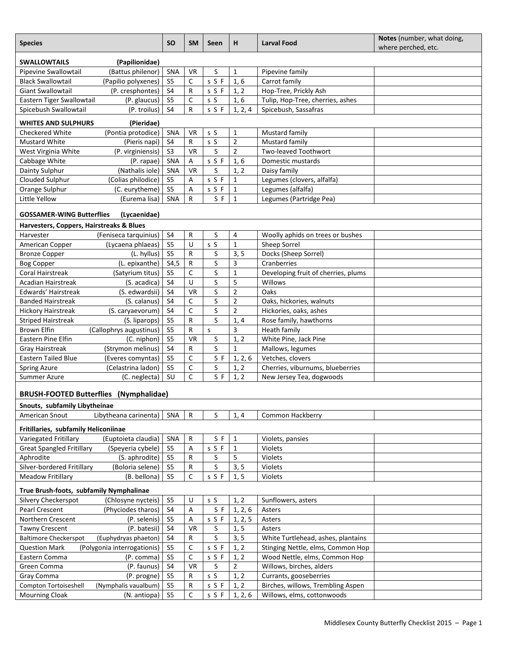| <b>Species</b>                                       |                                                     | <b>SO</b>      | <b>SM</b>    | Seen       | н                      | <b>Larval Food</b>                                                      | Notes (number, what doing,<br>where perched, etc. |  |  |
|------------------------------------------------------|-----------------------------------------------------|----------------|--------------|------------|------------------------|-------------------------------------------------------------------------|---------------------------------------------------|--|--|
| <b>SWALLOWTAILS</b><br>(Papilionidae)                |                                                     |                |              |            |                        |                                                                         |                                                   |  |  |
| Pipevine Swallowtail                                 | (Battus philenor)                                   | SNA            | <b>VR</b>    | S          | $\mathbf{1}$           | Pipevine family                                                         |                                                   |  |  |
| <b>Black Swallowtail</b>                             | (Papilio polyxenes)                                 | S <sub>5</sub> | C            | s S F      | 1,6                    | Carrot family                                                           |                                                   |  |  |
| <b>Giant Swallowtail</b>                             | (P. cresphontes)                                    | S <sub>4</sub> | ${\sf R}$    | s S F      | 1, 2                   | Hop-Tree, Prickly Ash                                                   |                                                   |  |  |
| Eastern Tiger Swallowtail                            | (P. glaucus)                                        |                | $\mathsf C$  | s S        | 1,6                    | Tulip, Hop-Tree, cherries, ashes                                        |                                                   |  |  |
| Spicebush Swallowtail                                | (P. troilus)                                        | S <sub>4</sub> | R            | s S F      | 1, 2, 4                | Spicebush, Sassafras                                                    |                                                   |  |  |
| <b>WHITES AND SULPHURS</b>                           | (Pieridae)                                          |                |              |            |                        |                                                                         |                                                   |  |  |
| Checkered White                                      | (Pontia protodice)                                  | SNA            | <b>VR</b>    | s S        | $\mathbf{1}$           | Mustard family                                                          |                                                   |  |  |
| Mustard White                                        | (Pieris napi)                                       | S <sub>4</sub> | R            | s S        | $\overline{2}$         | Mustard family                                                          |                                                   |  |  |
| West Virginia White                                  | (P. virginiensis)                                   | S <sub>3</sub> | <b>VR</b>    | S          | $\overline{2}$         | <b>Two-leaved Toothwort</b>                                             |                                                   |  |  |
| Cabbage White                                        | (P. rapae)                                          | SNA            | А            | s S F      | 1,6                    | Domestic mustards                                                       |                                                   |  |  |
| Dainty Sulphur                                       | (Nathalis iole)                                     | SNA            | <b>VR</b>    | $\sf S$    | 1, 2                   | Daisy family                                                            |                                                   |  |  |
| Clouded Sulphur                                      | (Colias philodice)                                  | S <sub>5</sub> | A            | s S F      | $\mathbf{1}$           | Legumes (clovers, alfalfa)                                              |                                                   |  |  |
| Orange Sulphur                                       | (C. eurytheme)                                      |                | A            | s S F      | $\mathbf{1}$           | Legumes (alfalfa)                                                       |                                                   |  |  |
| Little Yellow                                        | (Eurema lisa)                                       | SNA            | R            | S F        | $\mathbf{1}$           | Legumes (Partridge Pea)                                                 |                                                   |  |  |
| <b>GOSSAMER-WING Butterflies</b>                     | (Lycaenidae)                                        |                |              |            |                        |                                                                         |                                                   |  |  |
| Harvesters, Coppers, Hairstreaks & Blues             |                                                     |                |              |            |                        |                                                                         |                                                   |  |  |
| Harvester                                            | (Feniseca tarquinius)                               | S <sub>4</sub> | R            | S          | 4                      | Woolly aphids on trees or bushes                                        |                                                   |  |  |
| American Copper                                      | (Lycaena phlaeas)                                   | S <sub>5</sub> | U            | s S        | $\mathbf{1}$           | Sheep Sorrel                                                            |                                                   |  |  |
| <b>Bronze Copper</b>                                 | (L. hyllus)                                         | S <sub>5</sub> | ${\sf R}$    | S          | 3, 5                   | Docks (Sheep Sorrel)                                                    |                                                   |  |  |
| <b>Bog Copper</b>                                    | (L. epixanthe)                                      | S4,5           | R            | $\sf S$    | 3                      | Cranberries                                                             |                                                   |  |  |
| <b>Coral Hairstreak</b>                              | (Satyrium titus)                                    | S <sub>5</sub> | $\mathsf C$  | $\sf S$    | $\mathbf{1}$           | Developing fruit of cherries, plums                                     |                                                   |  |  |
| <b>Acadian Hairstreak</b>                            | (S. acadica)                                        | S <sub>4</sub> | U            | $\sf S$    | 5                      | Willows                                                                 |                                                   |  |  |
| Edwards' Hairstreak                                  | (S. edwardsii)                                      | S <sub>4</sub> | <b>VR</b>    | $\sf S$    | $\overline{2}$         | Oaks                                                                    |                                                   |  |  |
| <b>Banded Hairstreak</b>                             | (S. calanus)                                        | S <sub>4</sub> | C            | $\sf S$    | $\overline{2}$         | Oaks, hickories, walnuts                                                |                                                   |  |  |
| <b>Hickory Hairstreak</b>                            | (S. caryaevorum)                                    | S4             | $\mathsf C$  | $\sf S$    | $\overline{2}$         | Hickories, oaks, ashes                                                  |                                                   |  |  |
| <b>Striped Hairstreak</b>                            | (S. liparops)                                       | S <sub>5</sub> | R            | S          | 1, 4                   | Rose family, hawthorns                                                  |                                                   |  |  |
| <b>Brown Elfin</b>                                   | (Callophrys augustinus)                             | S <sub>5</sub> | ${\sf R}$    | S          | 3                      | Heath family                                                            |                                                   |  |  |
| Eastern Pine Elfin                                   | (C. niphon)                                         | S <sub>5</sub> | <b>VR</b>    | S          | 1, 2                   | White Pine, Jack Pine                                                   |                                                   |  |  |
| <b>Gray Hairstreak</b>                               | (Strymon melinus)                                   | S4             | R            | S          | $\mathbf{1}$           | Mallows, legumes                                                        |                                                   |  |  |
| <b>Eastern Tailed Blue</b>                           | (Everes comyntas)                                   | S <sub>5</sub> | $\mathsf C$  | S F        | 1, 2, 6                | Vetches, clovers                                                        |                                                   |  |  |
| Spring Azure                                         | (Celastrina ladon)                                  | S <sub>5</sub> | $\mathsf C$  | S          | 1, 2                   | Cherries, viburnums, blueberries                                        |                                                   |  |  |
| Summer Azure                                         | (C. neglecta)                                       | SU             | C            | S F        | 1, 2                   | New Jersey Tea, dogwoods                                                |                                                   |  |  |
|                                                      |                                                     |                |              |            |                        |                                                                         |                                                   |  |  |
| <b>BRUSH-FOOTED Butterflies (Nymphalidae)</b>        |                                                     |                |              |            |                        |                                                                         |                                                   |  |  |
| Snouts, subfamily Libytheinae                        |                                                     |                |              |            |                        |                                                                         |                                                   |  |  |
| American Snout                                       | Libytheana carinenta)                               | SNA            | $\mathsf{R}$ | S          | 1, 4                   | Common Hackberry                                                        |                                                   |  |  |
| Fritillaries, subfamily Heliconiinae                 |                                                     |                |              |            |                        |                                                                         |                                                   |  |  |
| Variegated Fritillary                                | (Euptoieta claudia)                                 | SNA            | R            | S F        | $\mathbf{1}$           | Violets, pansies                                                        |                                                   |  |  |
| <b>Great Spangled Fritillary</b>                     | (Speyeria cybele)                                   | S <sub>5</sub> | A            | s S F      | 1                      | <b>Violets</b>                                                          |                                                   |  |  |
| Aphrodite                                            | (S. aphrodite)                                      | S <sub>5</sub> | R            | S          | 5                      | Violets                                                                 |                                                   |  |  |
| Silver-bordered Fritillary                           | (Boloria selene)                                    | S <sub>5</sub> | R            | $\sf S$    | 3, 5                   | Violets                                                                 |                                                   |  |  |
| <b>Meadow Fritillary</b>                             | (B. bellona)                                        | S <sub>5</sub> | C            | s S F      | 1, 5                   | Violets                                                                 |                                                   |  |  |
| True Brush-foots, subfamily Nymphalinae              |                                                     |                |              |            |                        |                                                                         |                                                   |  |  |
| Silvery Checkerspot                                  | (Chlosyne nycteis)                                  | S <sub>5</sub> | U            | s S        | 1, 2                   | Sunflowers, asters                                                      |                                                   |  |  |
| Pearl Crescent                                       | (Phyciodes tharos)                                  | S4             | A            | S F        | 1, 2, 6                | Asters                                                                  |                                                   |  |  |
| Northern Crescent                                    | (P. selenis)                                        | S <sub>5</sub> | А            | s S F      | 1, 2, 5                | Asters                                                                  |                                                   |  |  |
| <b>Tawny Crescent</b>                                | (P. batesii)                                        | S <sub>4</sub> | <b>VR</b>    | S          |                        | Asters                                                                  |                                                   |  |  |
|                                                      |                                                     | S4             | R            | $\sf S$    | 1, 5<br>3, 5           |                                                                         |                                                   |  |  |
| <b>Baltimore Checkerspot</b><br><b>Question Mark</b> | (Euphydryas phaeton)<br>(Polygonia interrogationis) | S <sub>5</sub> | C            | s S F      | 1, 2                   | White Turtlehead, ashes, plantains<br>Stinging Nettle, elms, Common Hop |                                                   |  |  |
|                                                      |                                                     |                | $\mathsf C$  |            |                        |                                                                         |                                                   |  |  |
| Eastern Comma                                        | (P. comma)<br>(P. faunus)                           | S5<br>S4       | <b>VR</b>    | s S F<br>S | 1, 2<br>$\overline{2}$ | Wood Nettle, elms, Common Hop<br>Willows, birches, alders               |                                                   |  |  |
| Green Comma                                          |                                                     | S <sub>5</sub> |              | s S        |                        |                                                                         |                                                   |  |  |
| Gray Comma                                           | (P. progne)<br>(Nymphalis vaualbum)                 | S <sub>5</sub> | R<br>R       | s S F      | 1, 2<br>1, 2           | Currants, gooseberries<br>Birches, willows, Trembling Aspen             |                                                   |  |  |
| Compton Tortoiseshell                                |                                                     | S <sub>5</sub> | C            |            |                        | Willows, elms, cottonwoods                                              |                                                   |  |  |
| <b>Mourning Cloak</b>                                | (N. antiopa)                                        |                |              | s S F      | 1, 2, 6                |                                                                         |                                                   |  |  |